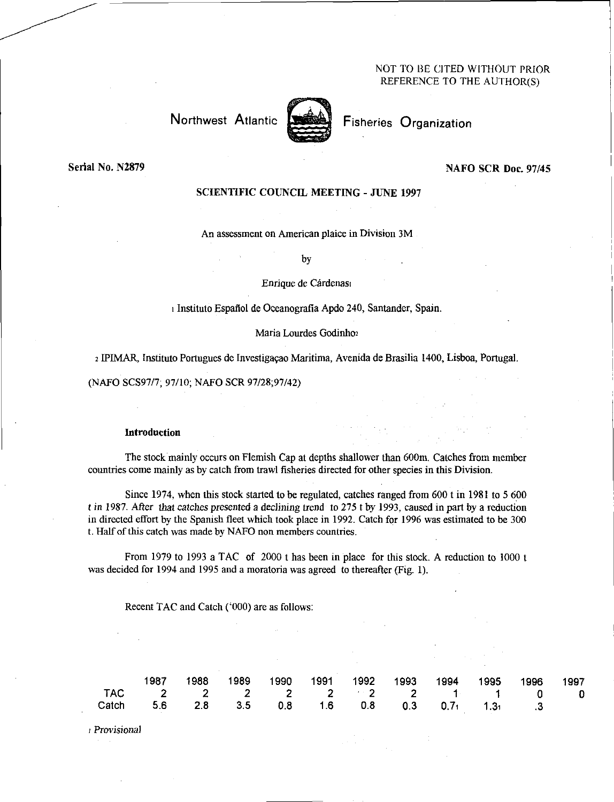# NOT TO BE CITED WITHOUT PRIOR REFERENCE TO THE AUTHOR(S)

# Northwest Atlantic



Fisheries Organization

Serial No. N2879

#### NAFO SCR Doc. 97/45

# SCIENTIFIC COUNCIL MEETING - JUNE 1997

An assessment on American plaice in Division 3M

by

# Enrique de Cárdenas

Instituto Espafiol de Oceanografia Apdo 240, Santander, Spain.

## Maria Lourdes Godinho2

<sup>2</sup>IPIMAR, Instituto Portugues de Investigacao Maritima, Avenida de Brasilia 1400, Lisboa, Portugal.

(NAFO SCS97/7; 97/10; NAFO SCR 97/28;97/42)

#### Introduction

The stock mainly occurs on Flemish Cap at depths shallower than 600m. Catches from member countries come mainly as by catch from trawl fisheries directed for other species in this Division.

Since 1974, when this stock started to be regulated, catches ranged from 600 t in 1981 to 5 600 *t* in 1987. After *that catches* presented a *declining* trend to 275 t by 1993, caused in part by a reduction in directed effort by the Spanish fleet which took place in 1992. Catch for 1996 was estimated to be 300 t. Half of this catch was made by NAFO non members countries.

From 1979 to 1993 a TAC of 2000 t has been in place for this stock. A reduction to 1000 t was decided for 1994 and 1995 and a moratoria was agreed to thereafter (Fig. 1).

Recent TAC and Catch ('000) are as follows:

|                                                |  |  |  | 1987 1988 1989 1990 1991 1992 1993 1994 1995 1996 1997 |  |  |
|------------------------------------------------|--|--|--|--------------------------------------------------------|--|--|
| TAC 2 2 2 2 2 2 2 1 1 0 0                      |  |  |  |                                                        |  |  |
| Catch 5.6 2.8 3.5 0.8 1.6 0.8 0.3 0.71 1.31 .3 |  |  |  |                                                        |  |  |

*Provisional*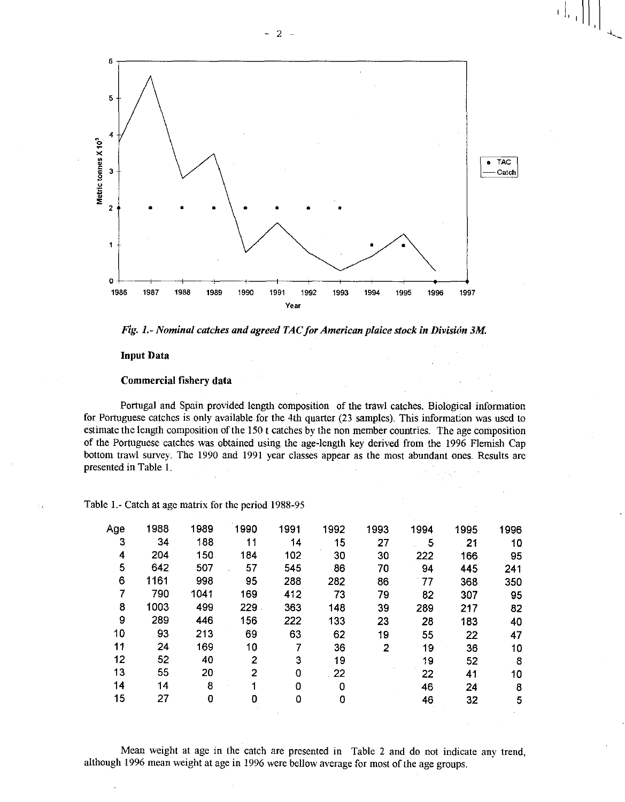



## Input Data

### Commercial fishery data

Portugal and Spain provided length composition of the trawl catches. Biological information for Portuguese catches is only available for the 4th quarter (23 samples). This information was used to estimate the length composition of the 150 t catches by the non member countries. The age composition of the Portuguese catches was obtained using the age-length key derived from the 1996 Flemish Cap bottom trawl survey. The 1990 and 1991 year classes appear as the most abundant ones. Results are presented in Table 1.

| Age | 1988 | 1989 | 1990 | 1991 | 1992 | 1993 | 1994 | 1995 | 1996 |
|-----|------|------|------|------|------|------|------|------|------|
| 3   | 34   | 188  | 11   | 14   | 15   | 27   | 5    | 21   | 10   |
| 4   | 204  | 150  | 184  | 102  | 30   | 30   | 222  | 166  | 95   |
| 5   | 642  | 507  | 57   | 545  | 86   | 70   | 94   | 445  | 241  |
| 6   | 1161 | 998  | 95   | 288  | 282  | 86   | 77   | 368  | 350  |
|     | 790  | 1041 | 169  | 412  | 73   | 79   | 82   | 307  | 95   |
| 8   | 1003 | 499  | 229  | 363  | 148  | 39   | 289  | 217  | 82   |
| 9   | 289  | 446  | 156  | 222  | 133  | 23   | 28   | 183  | 40   |
| 10  | 93   | 213  | 69   | 63   | 62   | 19   | 55   | 22   | 47   |
| 11  | 24   | 169  | 10   |      | 36   | 2    | 19   | 36   | 10   |
| 12  | 52   | 40   | 2    | 3    | 19   |      | 19   | 52   | 8    |
| 13  | 55   | 20   | 2    | 0    | 22   |      | 22   | 41   | 10   |
| 14  | 14   | 8    |      | 0    | 0    |      | 46   | 24   | 8    |
| 15  | 27   | 0    | 0    | 0    | 0    |      | 46   | 32   | 5    |
|     |      |      |      |      |      |      |      |      |      |

Table 1.- Catch at age matrix for the period 1988-95

Mean weight at age in the catch are presented in Table 2 and do not indicate any trend, although 1996 mean weight at age in 1996 were bellow average for most of the age groups.

 $\left.\left.\begin{matrix} 1 \\ 1 \\ 0 \\ 0 \\ 0 \\ 0 \end{matrix}\right\rangle \left.\begin{matrix} 1 \\ 1 \\ 0 \\ 0 \\ 0 \\ 0 \\ 0 \end{matrix}\right\}\right|_{\mathcal{H}}$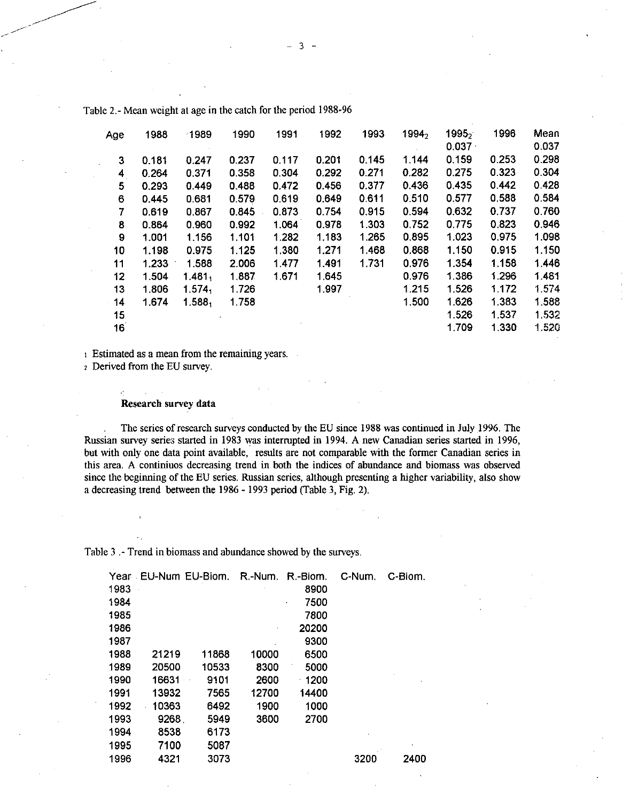| Age | 1988  | 1989               | 1990  | 1991  | 1992  | 1993  | 19942 | 19952<br>0.037 | 1996    | Mean<br>0.037 |
|-----|-------|--------------------|-------|-------|-------|-------|-------|----------------|---------|---------------|
| 3   | 0.181 | 0.247              | 0.237 | 0.117 | 0.201 | 0.145 | 1.144 | 0.159          | 0.253   | 0.298         |
| 4   | 0.264 | 0.371              | 0.358 | 0.304 | 0.292 | 0.271 | 0.282 | 0.275          | 0.323   | 0.304         |
| 5   | 0.293 | 0.449              | 0.488 | 0.472 | 0.456 | 0.377 | 0.436 | 0.435          | 0.442   | 0.428         |
| 6   | 0.445 | 0.681              | 0.579 | 0.619 | 0.649 | 0.611 | 0.510 | 0.577          | 0.588   | 0.584         |
| 7   | 0.619 | 0.867              | 0.845 | 0.873 | 0.754 | 0.915 | 0.594 | 0.632          | 0.737   | 0.760         |
| 8   | 0.864 | 0.960              | 0.992 | 1.064 | 0.978 | 1.303 | 0.752 | 0.775          | 0.823   | 0.946         |
| 9   | 1.001 | 1.156              | 1.101 | 1.282 | 1.183 | 1.265 | 0.895 | 1.023          | 0.975   | 1.098         |
| 10  | 1.198 | 0.975              | 1.125 | 1.380 | 1.271 | 1.468 | 0.868 | 1.150          | 0.915   | 1.150         |
| 11  | 1.233 | 1.588              | 2.006 | 1.477 | 1.491 | 1.731 | 0.976 | 1.354          | 1.158   | 1.446         |
| 12  | 1.504 | 1.481,             | 1.887 | 1.671 | 1.645 |       | 0.976 | 1.386          | 1.296   | 1.481         |
| 13  | 1.806 | 1.574 <sub>1</sub> | 1.726 |       | 1.997 |       | 1.215 | 1 5 2 6        | 1 1 7 2 | 1.574         |
| 14  | 1.674 | $1.588_1$          | 1.758 |       |       |       | 1.500 | 1.626          | 1.383   | 1.588         |
| 15  |       |                    |       |       |       |       |       | 1.526          | 1.537   | 1.532         |
| 16  |       |                    |       |       |       |       |       | 1.709          | 1.330   | 1.520         |

Table 2.- Mean weight at age in the catch for the period 1988-96

I Estimated as a mean from the remaining years.

<sup>2</sup>Derived from the EU survey.

Ŷ.

## Research survey data

The series of research surveys conducted by the EU since 1988 was continued in July 1996. The Russian survey series started in 1983 was interrupted in 1994. A new Canadian series started in 1996, but with only one data point available, results are not comparable with the former Canadian series in this area. A continuos decreasing trend in both the indices of abundance and biomass was observed since the beginning of the EU series. Russian series, although presenting a higher variability, also show a decreasing trend between the 1986 - 1993 period (Table 3, Fig. 2).

Table 3 .- Trend in biomass and abundance showed by the surveys.

| Year |       | EU-Num EU-Biom. | R.-Num. | R.-Biom.  | C-Num. | C-Biom. |
|------|-------|-----------------|---------|-----------|--------|---------|
| 1983 |       |                 |         | 8900      |        |         |
| 1984 |       |                 |         | 7500<br>٠ |        |         |
| 1985 |       |                 |         | 7800      |        |         |
| 1986 |       |                 |         | 20200     |        |         |
| 1987 |       |                 |         | 9300      |        |         |
| 1988 | 21219 | 11868           | 10000   | 6500      |        |         |
| 1989 | 20500 | 10533           | 8300    | 5000      |        |         |
| 1990 | 16631 | 9101<br>$\sim$  | 2600    | 1200<br>٠ |        |         |
| 1991 | 13932 | 7565            | 12700   | 14400     |        |         |
| 1992 | 10363 | 6492            | 1900    | 1000      |        |         |
| 1993 | 9268. | 5949            | 3600    | 2700      |        |         |
| 1994 | 8538  | 6173            |         |           |        |         |
| 1995 | 7100  | 5087            |         |           |        |         |
| 1996 | 4321  | 3073            |         |           | 3200   | 2400    |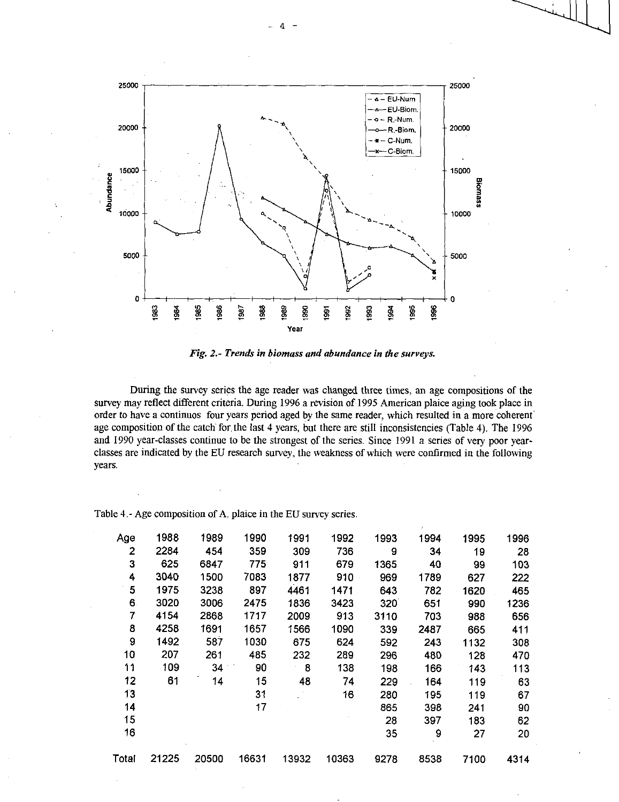

*Fig. 2.- Trends in biomass and abundance in the surveys.* 

During the survey series the age reader was changed three times, an age compositions of the survey may reflect different criteria. During 1996 a revision of 1995 American plaice aging took place in order to have a continuos four years period aged by the same reader, which resulted in a more coherent' age composition of the catch for the last 4 years, but there are still inconsistencies (Table 4). The 1996 and 1990 year-classes continue to be the strongest of the series. Since 1991 a series of very poor yearclasses are indicated by the EU research survey, the weakness of which were confirmed in the following years.

| Table 4 - Age composition of A. plaice in the EU survey series. |  |  |
|-----------------------------------------------------------------|--|--|
|-----------------------------------------------------------------|--|--|

| Age   | 1988  | 1989  | 1990  | 1991  | 1992  | 1993 | 1994 | 1995 | 1996 |
|-------|-------|-------|-------|-------|-------|------|------|------|------|
| 2     | 2284  | 454   | 359   | 309   | 736   | 9    | 34   | 19   | 28   |
| 3     | 625   | 6847  | 775   | 911   | 679   | 1365 | 40   | 99   | 103  |
| 4     | 3040  | 1500  | 7083  | 1877  | 910   | 969  | 1789 | 627  | 222  |
| 5     | 1975  | 3238  | 897   | 4461  | 1471  | 643  | 782  | 1620 | 465  |
| 6     | 3020  | 3006  | 2475  | 1836  | 3423  | 320  | 651  | 990  | 1236 |
| 7     | 4154  | 2868  | 1717  | 2009  | 913   | 3110 | 703  | 988  | 656  |
| 8     | 4258  | 1691  | 1657  | 1566  | 1090  | 339  | 2487 | 665  | 411  |
| 9     | 1492  | 587   | 1030  | 675   | 624   | 592  | 243  | 1132 | 308  |
| 10    | 207   | 261   | 485   | 232   | 289   | 296  | 480  | 128  | 470  |
| 11    | 109   | 34    | 90    | 8     | 138   | 198  | 166  | 143  | 113  |
| 12    | 61    | 14    | 15    | 48    | 74    | 229  | 164  | 119  | 63   |
| 13    |       |       | 31    |       | 16    | 280  | 195  | 119  | 67   |
| 14    |       |       | 17    |       |       | 865  | 398  | 241  | 90   |
| 15    |       |       |       |       |       | 28   | 397  | 183  | 62   |
| 16    |       |       |       |       |       | 35   | 9    | 27   | 20   |
| Total | 21225 | 20500 | 16631 | 13932 | 10363 | 9278 | 8538 | 7100 | 4314 |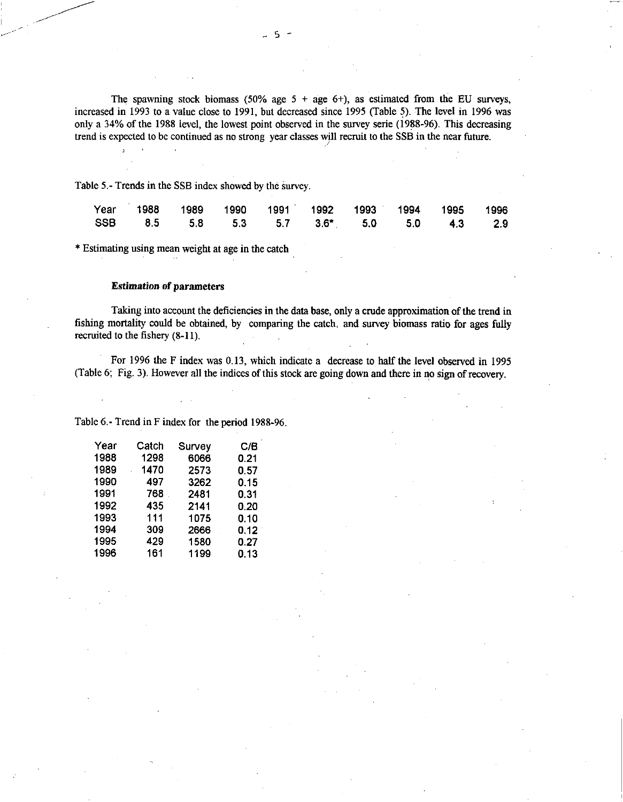The spawning stock biomass (50% age  $5 + age 6$ +), as estimated from the EU surveys, increased in 1993 to a value close to 1991, but decreased since 1995 (Table 5). The level in 1996 was only a 34% of the 1988 level, the lowest point observed in the survey serie (1988-96). This decreasing trend is expected to be continued as no strong year classes will recruit to the SSB in the near future.

Table 5.- Trends in the SSB index showed by the survey.

|  |  | Year 1988 1989 1990 1991 1992 1993 1994 1995 1996 |  |  |  |
|--|--|---------------------------------------------------|--|--|--|
|  |  | SSB 8.5 5.8 5.3 5.7 3.6* 5.0 5.0 4.3 2.9          |  |  |  |

\* Estimating using mean weight at age in the catch

## *Estimation* of parameters

 $\mathbf{r}$ 

Taking into account the deficiencies in the data base, only a crude approximation of the trend in fishing mortality could be obtained, by comparing the catch, and survey biomass ratio for ages fully recruited to the fishery (8-11).

For 1996 the F index was 0.13, which indicate a decrease to half the level observed in 1995 (Table 6; Fig. 3). However all the indices of this stock are going down and there in no sign of recovery.

Table 6.- Trend in F index for the period 1988-96.

| Year | Catch | Survey | C/B  |
|------|-------|--------|------|
| 1988 | 1298  | 6066   | 0.21 |
| 1989 | 1470  | 2573   | 0.57 |
| 1990 | 497   | 3262   | 0.15 |
| 1991 | 768   | 2481   | 0.31 |
| 1992 | 435   | 2141   | 0.20 |
| 1993 | 111   | 1075   | 0.10 |
| 1994 | 309   | 2666   | 0.12 |
| 1995 | 429   | 1580   | 0.27 |
| 1996 | 161   | 1199   | 0.13 |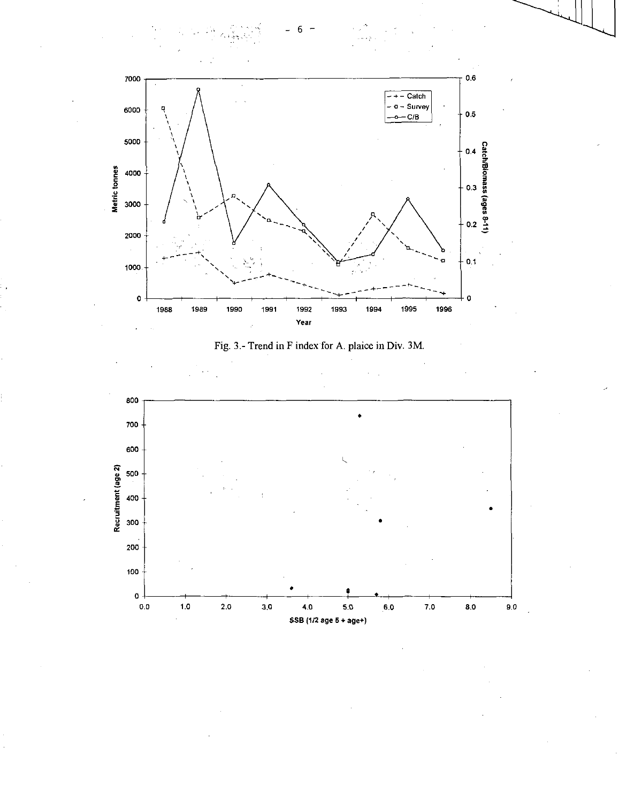